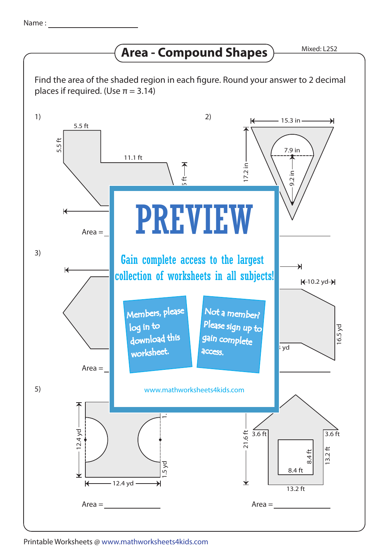## **Area - Compound Shapes**